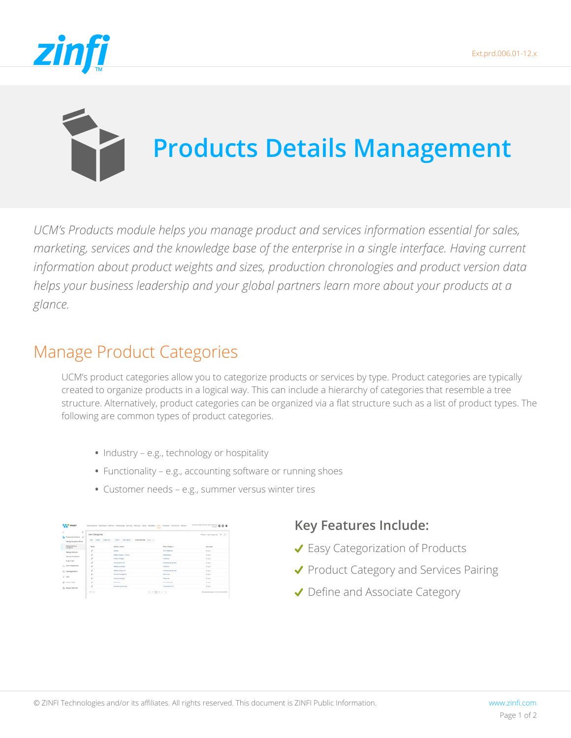



# **Products Details Management**

*UCM's Products module helps you manage product and services information essential for sales, marketing, services and the knowledge base of the enterprise in a single interface. Having current information about product weights and sizes, production chronologies and product version data helps your business leadership and your global partners learn more about your products at a glance.*

### Manage Product Categories

UCM's product categories allow you to categorize products or services by type. Product categories are typically created to organize products in a logical way. This can include a hierarchy of categories that resemble a tree structure. Alternatively, product categories can be organized via a flat structure such as a list of product types. The following are common types of product categories.

- **•** Industry e.g., technology or hospitality
- **•** Functionality e.g., accounting software or running shoes
- **•** Customer needs e.g., summer versus winter tires

| ×<br>To measure basers                            | <b>Well Catagories</b>   |                                                 |                               | * but (reclament ) # 17             |
|---------------------------------------------------|--------------------------|-------------------------------------------------|-------------------------------|-------------------------------------|
| Henry Island (Res)                                | AAA Calaba Caaba Ilaa    | Lingville Claim Longick<br>Seattlested: Sout 12 |                               |                                     |
| <b><i>International Benedict</i></b><br>(angeles) | <b>Seat</b>              | Gregoria Santo                                  | Anna Gregory                  | <b>STATISTICS</b><br><b>AFRICAR</b> |
| <b>TRADE DESCRIPTI</b>                            | $\bar{\phantom{a}}$      | Toyaki:                                         | <b>Should Independent</b>     | <b>Arabic</b>                       |
| Internate Penal Basino                            | ۰<br>,                   | <b>Hitler shout Critics</b>                     | <b><i><u>Services</u></i></b> | <b>START</b>                        |
|                                                   | $\overline{\phantom{a}}$ | <b>Trend Vidgel</b>                             | <b>STATISTICS</b>             | <b>START</b>                        |
| Link Scher                                        | $\overline{\phantom{a}}$ | to turning to                                   | Publishers' for look          | <b>Arabic</b>                       |
| $\beta_1$ Leurencean                              | <b>Service</b><br>,      | <b><i><u>Marketin's Month</u></i></b>           | <b>Schulture</b>              | <b>Brazil</b>                       |
| 10. Destheamann                                   | ,                        | <b>MARK AVAILABLE</b>                           | <b>Analysis of the cost</b>   | Argier                              |
|                                                   | $\overline{\phantom{a}}$ | Straiter (Calyn) 21                             |                               | <b>Bradley</b>                      |
| 1.00                                              | ×                        | Telephone Ministered                            | <b>Service</b>                | <b>Branch</b>                       |
| (b) there has                                     | ,                        | <b>Branchards</b>                               | <b>Brick Triche leds</b>      | To play                             |
| Or, Angelm Antonio.                               | - r                      | <b>Business of Levins</b>                       | <b>Virtualization 211</b>     | Arabar                              |

### **Key Features Include:**

- ◆ Easy Categorization of Products
- ◆ Product Category and Services Pairing
- Define and Associate Category